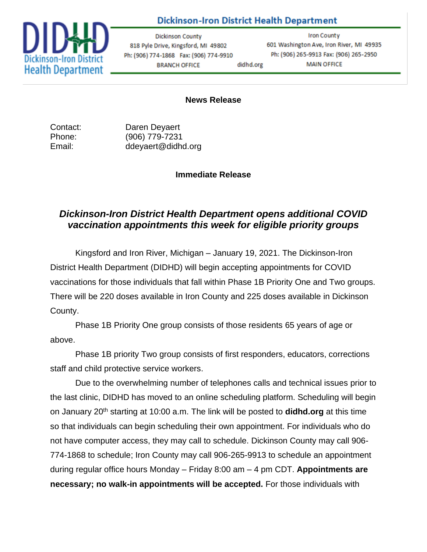## **Dickinson-Iron District Health Department**



**Dickinson County** 818 Pyle Drive, Kingsford, MI 49802 Ph: (906) 774-1868 Fax: (906) 774-9910 **BRANCH OFFICE** didhd.org

**Iron County** 601 Washington Ave, Iron River, MI 49935 Ph: (906) 265-9913 Fax: (906) 265-2950 **MAIN OFFICE** 

## **News Release**

Contact: Daren Deyaert Phone: (906) 779-7231 Email: ddeyaert@didhd.org

## **Immediate Release**

## *Dickinson-Iron District Health Department opens additional COVID vaccination appointments this week for eligible priority groups*

Kingsford and Iron River, Michigan – January 19, 2021. The Dickinson-Iron District Health Department (DIDHD) will begin accepting appointments for COVID vaccinations for those individuals that fall within Phase 1B Priority One and Two groups. There will be 220 doses available in Iron County and 225 doses available in Dickinson County.

Phase 1B Priority One group consists of those residents 65 years of age or above.

Phase 1B priority Two group consists of first responders, educators, corrections staff and child protective service workers.

Due to the overwhelming number of telephones calls and technical issues prior to the last clinic, DIDHD has moved to an online scheduling platform. Scheduling will begin on January 20th starting at 10:00 a.m. The link will be posted to **didhd.org** at this time so that individuals can begin scheduling their own appointment. For individuals who do not have computer access, they may call to schedule. Dickinson County may call 906- 774-1868 to schedule; Iron County may call 906-265-9913 to schedule an appointment during regular office hours Monday – Friday 8:00 am – 4 pm CDT. **Appointments are necessary; no walk-in appointments will be accepted.** For those individuals with